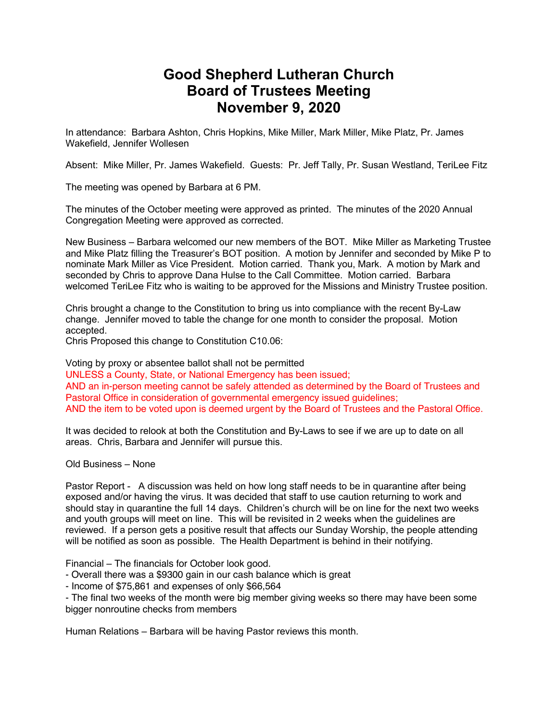## **Good Shepherd Lutheran Church Board of Trustees Meeting November 9, 2020**

In attendance: Barbara Ashton, Chris Hopkins, Mike Miller, Mark Miller, Mike Platz, Pr. James Wakefield, Jennifer Wollesen

Absent: Mike Miller, Pr. James Wakefield. Guests: Pr. Jeff Tally, Pr. Susan Westland, TeriLee Fitz

The meeting was opened by Barbara at 6 PM.

The minutes of the October meeting were approved as printed. The minutes of the 2020 Annual Congregation Meeting were approved as corrected.

New Business – Barbara welcomed our new members of the BOT. Mike Miller as Marketing Trustee and Mike Platz filling the Treasurer's BOT position. A motion by Jennifer and seconded by Mike P to nominate Mark Miller as Vice President. Motion carried. Thank you, Mark. A motion by Mark and seconded by Chris to approve Dana Hulse to the Call Committee. Motion carried. Barbara welcomed TeriLee Fitz who is waiting to be approved for the Missions and Ministry Trustee position.

Chris brought a change to the Constitution to bring us into compliance with the recent By-Law change. Jennifer moved to table the change for one month to consider the proposal. Motion accepted.

Chris Proposed this change to Constitution C10.06:

Voting by proxy or absentee ballot shall not be permitted UNLESS a County, State, or National Emergency has been issued; AND an in-person meeting cannot be safely attended as determined by the Board of Trustees and Pastoral Office in consideration of governmental emergency issued guidelines; AND the item to be voted upon is deemed urgent by the Board of Trustees and the Pastoral Office.

It was decided to relook at both the Constitution and By-Laws to see if we are up to date on all areas. Chris, Barbara and Jennifer will pursue this.

Old Business – None

Pastor Report - A discussion was held on how long staff needs to be in quarantine after being exposed and/or having the virus. It was decided that staff to use caution returning to work and should stay in quarantine the full 14 days. Children's church will be on line for the next two weeks and youth groups will meet on line. This will be revisited in 2 weeks when the guidelines are reviewed. If a person gets a positive result that affects our Sunday Worship, the people attending will be notified as soon as possible. The Health Department is behind in their notifying.

Financial – The financials for October look good.

- Overall there was a \$9300 gain in our cash balance which is great

- Income of \$75,861 and expenses of only \$66,564

- The final two weeks of the month were big member giving weeks so there may have been some bigger nonroutine checks from members

Human Relations – Barbara will be having Pastor reviews this month.